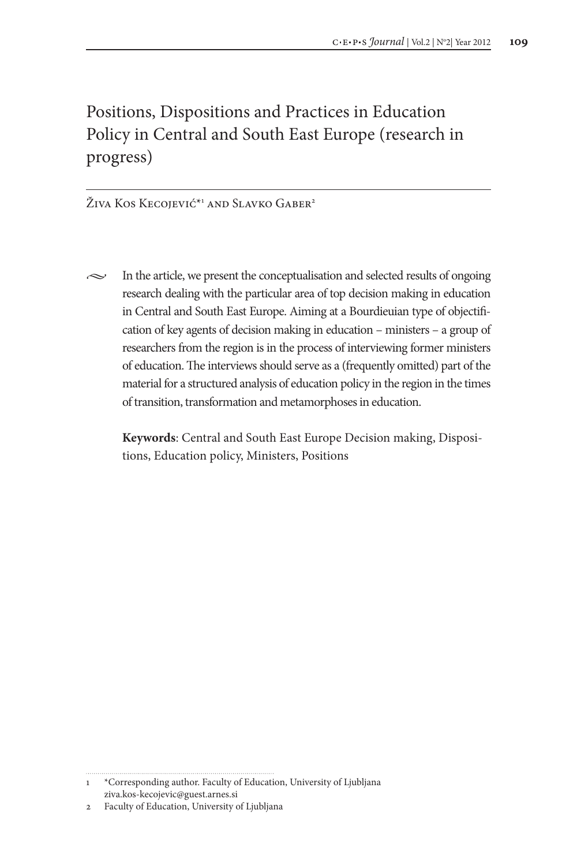# Positions, Dispositions and Practices in Education Policy in Central and South East Europe (research in progress)

Živa Kos Kecojević<sup>\*1</sup> and Slavko Gaber<sup>2</sup>

 $\sim$  In the article, we present the conceptualisation and selected results of ongoing research dealing with the particular area of top decision making in education in Central and South East Europe. Aiming at a Bourdieuian type of objectification of key agents of decision making in education – ministers – a group of researchers from the region is in the process of interviewing former ministers of education. The interviews should serve as a (frequently omitted) part of the material for a structured analysis of education policy in the region in the times of transition, transformation and metamorphoses in education.

**Keywords**: Central and South East Europe Decision making, Dispositions, Education policy, Ministers, Positions

<sup>1</sup> \*Corresponding author. Faculty of Education, University of Ljubljana ziva.kos-kecojevic@guest.arnes.si

<sup>2</sup> Faculty of Education, University of Ljubljana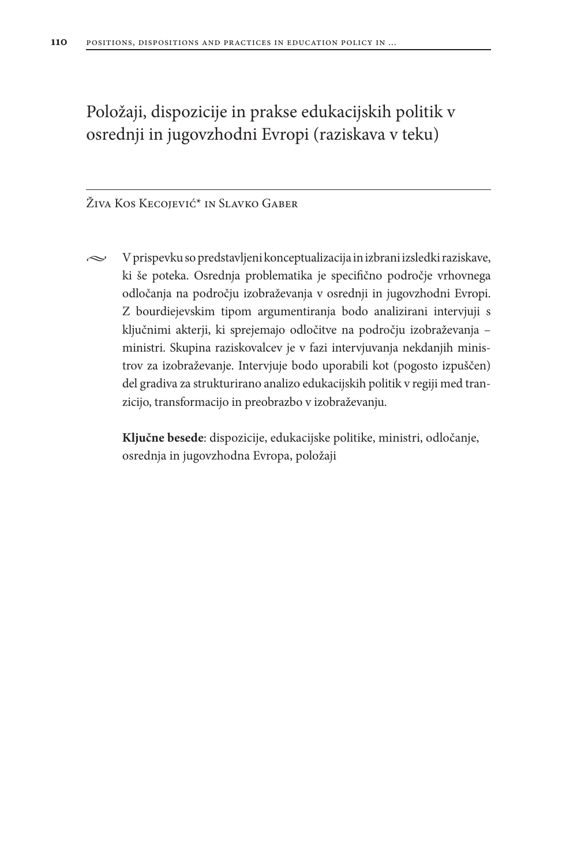Položaji, dispozicije in prakse edukacijskih politik v osrednji in jugovzhodni Evropi (raziskava v teku)

Živa Kos Kecojević\* in Slavko Gaber

 $\sim$  V prispevku so predstavljeni konceptualizacija in izbrani izsledki raziskave, ki še poteka. Osrednja problematika je specifično področje vrhovnega odločanja na področju izobraževanja v osrednji in jugovzhodni Evropi. Z bourdiejevskim tipom argumentiranja bodo analizirani intervjuji s ključnimi akterji, ki sprejemajo odločitve na področju izobraževanja – ministri. Skupina raziskovalcev je v fazi intervjuvanja nekdanjih ministrov za izobraževanje. Intervjuje bodo uporabili kot (pogosto izpuščen) del gradiva za strukturirano analizo edukacijskih politik v regiji med tranzicijo, transformacijo in preobrazbo v izobraževanju.

**Ključne besede**: dispozicije, edukacijske politike, ministri, odločanje, osrednja in jugovzhodna Evropa, položaji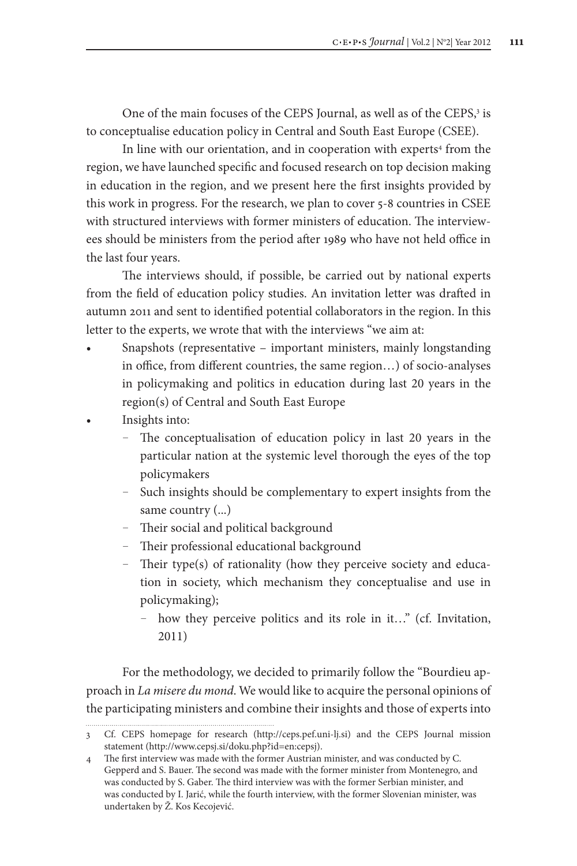One of the main focuses of the CEPS Journal, as well as of the CEPS,<sup>3</sup> is to conceptualise education policy in Central and South East Europe (CSEE).

In line with our orientation, and in cooperation with experts<sup>4</sup> from the region, we have launched specific and focused research on top decision making in education in the region, and we present here the first insights provided by this work in progress. For the research, we plan to cover 5-8 countries in CSEE with structured interviews with former ministers of education. The interviewees should be ministers from the period after 1989 who have not held office in the last four years.

The interviews should, if possible, be carried out by national experts from the field of education policy studies. An invitation letter was drafted in autumn 2011 and sent to identified potential collaborators in the region. In this letter to the experts, we wrote that with the interviews "we aim at:

- Snapshots (representative important ministers, mainly longstanding in office, from different countries, the same region…) of socio-analyses in policymaking and politics in education during last 20 years in the region(s) of Central and South East Europe
- Insights into:
	- The conceptualisation of education policy in last 20 years in the particular nation at the systemic level thorough the eyes of the top policymakers
	- Such insights should be complementary to expert insights from the same country (...)
	- Their social and political background

- Their professional educational background
- Their type(s) of rationality (how they perceive society and education in society, which mechanism they conceptualise and use in policymaking);
	- how they perceive politics and its role in it…" (cf. Invitation, 2011)

For the methodology, we decided to primarily follow the "Bourdieu approach in *La misere du mond*. We would like to acquire the personal opinions of the participating ministers and combine their insights and those of experts into

<sup>3</sup> Cf. CEPS homepage for research (http://ceps.pef.uni-lj.si) and the CEPS Journal mission statement (http://www.cepsj.si/doku.php?id=en:cepsj).

<sup>4</sup> The first interview was made with the former Austrian minister, and was conducted by C. Gepperd and S. Bauer. The second was made with the former minister from Montenegro, and was conducted by S. Gaber. The third interview was with the former Serbian minister, and was conducted by I. Jarić, while the fourth interview, with the former Slovenian minister, was undertaken by Ž. Kos Kecojević.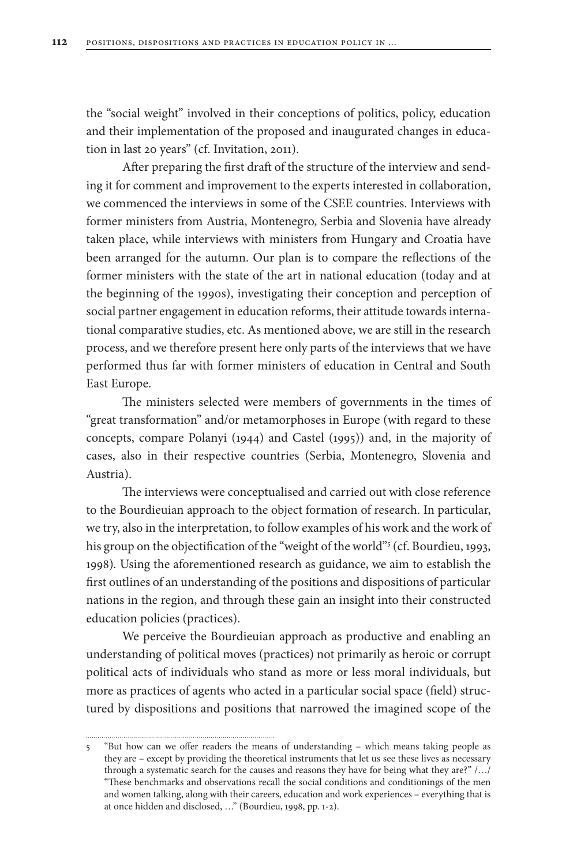the "social weight" involved in their conceptions of politics, policy, education and their implementation of the proposed and inaugurated changes in education in last 20 years" (cf. Invitation, 2011).

After preparing the first draft of the structure of the interview and sending it for comment and improvement to the experts interested in collaboration, we commenced the interviews in some of the CSEE countries. Interviews with former ministers from Austria, Montenegro, Serbia and Slovenia have already taken place, while interviews with ministers from Hungary and Croatia have been arranged for the autumn. Our plan is to compare the reflections of the former ministers with the state of the art in national education (today and at the beginning of the 1990s), investigating their conception and perception of social partner engagement in education reforms, their attitude towards international comparative studies, etc. As mentioned above, we are still in the research process, and we therefore present here only parts of the interviews that we have performed thus far with former ministers of education in Central and South East Europe.

The ministers selected were members of governments in the times of "great transformation" and/or metamorphoses in Europe (with regard to these concepts, compare Polanyi (1944) and Castel (1995)) and, in the majority of cases, also in their respective countries (Serbia, Montenegro, Slovenia and Austria).

The interviews were conceptualised and carried out with close reference to the Bourdieuian approach to the object formation of research. In particular, we try, also in the interpretation, to follow examples of his work and the work of his group on the objectification of the "weight of the world"<sup>5</sup> (cf. Bourdieu, 1993, 1998)*.* Using the aforementioned research as guidance, we aim to establish the first outlines of an understanding of the positions and dispositions of particular nations in the region, and through these gain an insight into their constructed education policies (practices).

We perceive the Bourdieuian approach as productive and enabling an understanding of political moves (practices) not primarily as heroic or corrupt political acts of individuals who stand as more or less moral individuals, but more as practices of agents who acted in a particular social space (field) structured by dispositions and positions that narrowed the imagined scope of the

<sup>5</sup> "But how can we offer readers the means of understanding – which means taking people as they are – except by providing the theoretical instruments that let us see these lives as necessary through a systematic search for the causes and reasons they have for being what they are?" /…/ "These benchmarks and observations recall the social conditions and conditionings of the men and women talking, along with their careers, education and work experiences – everything that is at once hidden and disclosed, …" (Bourdieu, 1998, pp. 1-2).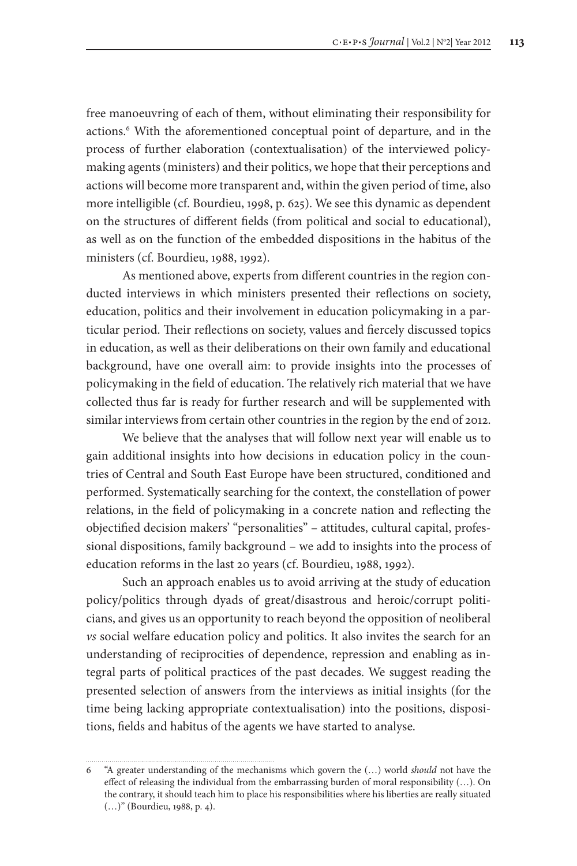free manoeuvring of each of them, without eliminating their responsibility for actions.<sup>6</sup> With the aforementioned conceptual point of departure, and in the process of further elaboration (contextualisation) of the interviewed policymaking agents (ministers) and their politics, we hope that their perceptions and actions will become more transparent and, within the given period of time, also more intelligible (cf. Bourdieu, 1998, p. 625). We see this dynamic as dependent on the structures of different fields (from political and social to educational), as well as on the function of the embedded dispositions in the habitus of the ministers (cf. Bourdieu, 1988, 1992).

As mentioned above, experts from different countries in the region conducted interviews in which ministers presented their reflections on society, education, politics and their involvement in education policymaking in a particular period. Their reflections on society, values and fiercely discussed topics in education, as well as their deliberations on their own family and educational background, have one overall aim: to provide insights into the processes of policymaking in the field of education. The relatively rich material that we have collected thus far is ready for further research and will be supplemented with similar interviews from certain other countries in the region by the end of 2012.

We believe that the analyses that will follow next year will enable us to gain additional insights into how decisions in education policy in the countries of Central and South East Europe have been structured, conditioned and performed. Systematically searching for the context, the constellation of power relations, in the field of policymaking in a concrete nation and reflecting the objectified decision makers' "personalities" – attitudes, cultural capital, professional dispositions, family background – we add to insights into the process of education reforms in the last 20 years (cf. Bourdieu, 1988, 1992).

Such an approach enables us to avoid arriving at the study of education policy/politics through dyads of great/disastrous and heroic/corrupt politicians, and gives us an opportunity to reach beyond the opposition of neoliberal *vs* social welfare education policy and politics. It also invites the search for an understanding of reciprocities of dependence, repression and enabling as integral parts of political practices of the past decades. We suggest reading the presented selection of answers from the interviews as initial insights (for the time being lacking appropriate contextualisation) into the positions, dispositions, fields and habitus of the agents we have started to analyse.

<sup>6</sup> "A greater understanding of the mechanisms which govern the (…) world *should* not have the effect of releasing the individual from the embarrassing burden of moral responsibility (…). On the contrary, it should teach him to place his responsibilities where his liberties are really situated (…)" (Bourdieu, 1988, p. 4).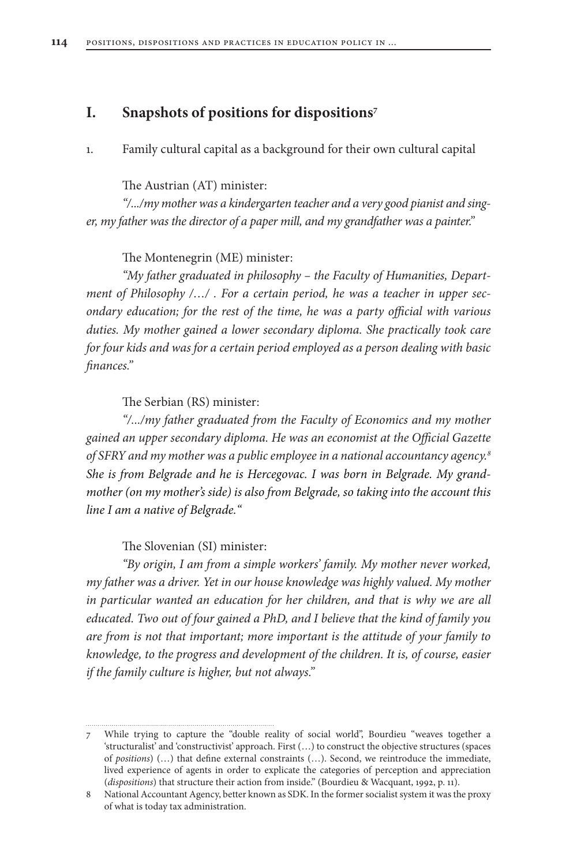### **I. Snapshots of positions for dispositions7**

1. Family cultural capital as a background for their own cultural capital

The Austrian (AT) minister:

*"/.../my mother was a kindergarten teacher and a very good pianist and singer, my father was the director of a paper mill, and my grandfather was a painter."*

The Montenegrin (ME) minister:

*"My father graduated in philosophy – the Faculty of Humanities, Department of Philosophy /…/ . For a certain period, he was a teacher in upper secondary education; for the rest of the time, he was a party official with various duties. My mother gained a lower secondary diploma. She practically took care for four kids and was for a certain period employed as a person dealing with basic finances."*

The Serbian (RS) minister:

*"/.../my father graduated from the Faculty of Economics and my mother gained an upper secondary diploma. He was an economist at the Official Gazette of SFRY and my mother was a public employee in a national accountancy agency.8 She is from Belgrade and he is Hercegovac. I was born in Belgrade. My grandmother (on my mother's side) is also from Belgrade, so taking into the account this line I am a native of Belgrade."*

The Slovenian (SI) minister:

*"By origin, I am from a simple workers' family. My mother never worked, my father was a driver. Yet in our house knowledge was highly valued. My mother*  in particular wanted an education for her children, and that is why we are all *educated. Two out of four gained a PhD, and I believe that the kind of family you are from is not that important; more important is the attitude of your family to knowledge, to the progress and development of the children. It is, of course, easier if the family culture is higher, but not always."*

<sup>7</sup> While trying to capture the "double reality of social world", Bourdieu "weaves together a 'structuralist' and 'constructivist' approach. First (…) to construct the objective structures (spaces of *positions*) (…) that define external constraints (…). Second, we reintroduce the immediate, lived experience of agents in order to explicate the categories of perception and appreciation (*dispositions*) that structure their action from inside." (Bourdieu & Wacquant, 1992, p. 11).

<sup>8</sup> National Accountant Agency, better known as SDK. In the former socialist system it was the proxy of what is today tax administration.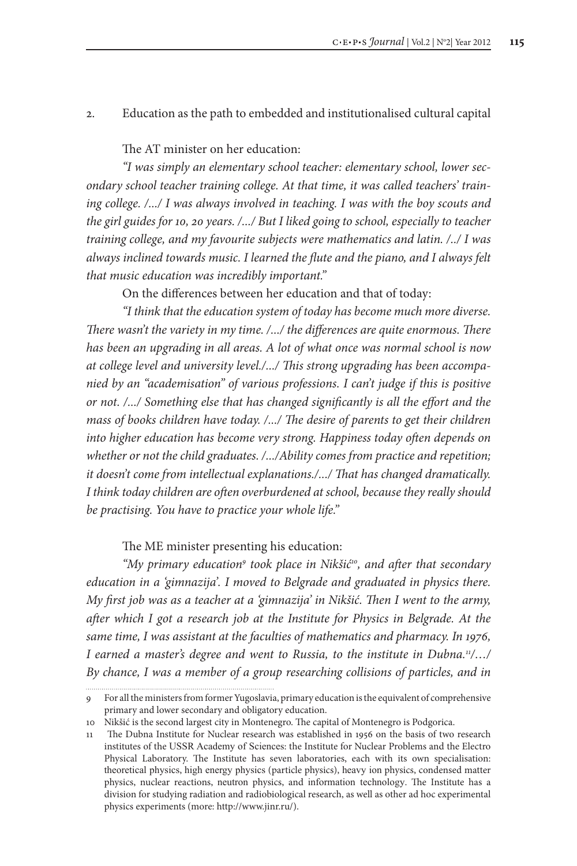#### 2. Education as the path to embedded and institutionalised cultural capital

#### The AT minister on her education:

*"I was simply an elementary school teacher: elementary school, lower secondary school teacher training college. At that time, it was called teachers' training college. /.../ I was always involved in teaching. I was with the boy scouts and the girl guides for 10, 20 years. /.../ But I liked going to school, especially to teacher training college, and my favourite subjects were mathematics and latin. /../ I was always inclined towards music. I learned the flute and the piano, and I always felt that music education was incredibly important."*

On the differences between her education and that of today:

*"I think that the education system of today has become much more diverse. There wasn't the variety in my time. /.../ the differences are quite enormous. There has been an upgrading in all areas. A lot of what once was normal school is now at college level and university level./.../ This strong upgrading has been accompanied by an "academisation" of various professions. I can't judge if this is positive or not. /.../ Something else that has changed significantly is all the effort and the mass of books children have today. /.../ The desire of parents to get their children into higher education has become very strong. Happiness today often depends on whether or not the child graduates. /.../Ability comes from practice and repetition; it doesn't come from intellectual explanations./.../ That has changed dramatically. I think today children are often overburdened at school, because they really should be practising. You have to practice your whole life."*

#### The ME minister presenting his education:

"My primary education<sup>9</sup> took place in Nikšić<sup>10</sup>, and after that secondary *education in a 'gimnazija'. I moved to Belgrade and graduated in physics there. My first job was as a teacher at a 'gimnazija' in Nikšić. Then I went to the army, after which I got a research job at the Institute for Physics in Belgrade. At the same time, I was assistant at the faculties of mathematics and pharmacy. In 1976, I earned a master's degree and went to Russia, to the institute in Dubna.11/…/*  By chance, I was a member of a group researching collisions of particles, and in

<sup>9</sup> For all the ministers from former Yugoslavia, primary education is the equivalent of comprehensive primary and lower secondary and obligatory education.

<sup>10</sup> Nikšić is the second largest city in Montenegro. The capital of Montenegro is Podgorica.

<sup>11</sup> The Dubna Institute for Nuclear research was established in 1956 on the basis of two research institutes of the USSR Academy of Sciences: the Institute for Nuclear Problems and the Electro Physical Laboratory. The Institute has seven laboratories, each with its own specialisation: theoretical physics, high energy physics (particle physics), heavy ion physics, condensed matter physics, nuclear reactions, neutron physics, and information technology. The Institute has a division for studying radiation and radiobiological research, as well as other ad hoc experimental physics experiments (more: http://www.jinr.ru/).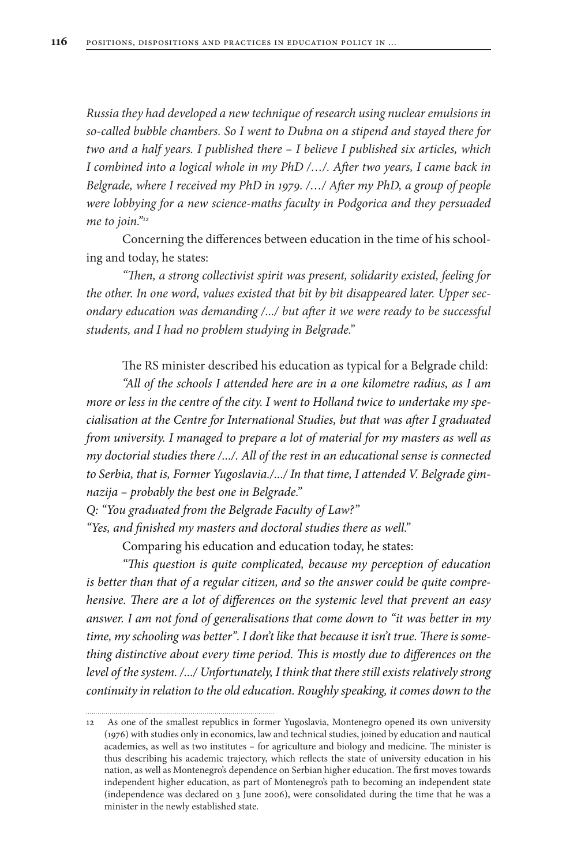*Russia they had developed a new technique of research using nuclear emulsions in so-called bubble chambers. So I went to Dubna on a stipend and stayed there for two and a half years. I published there – I believe I published six articles, which I combined into a logical whole in my PhD /…/. After two years, I came back in Belgrade, where I received my PhD in 1979. /…/ After my PhD, a group of people were lobbying for a new science-maths faculty in Podgorica and they persuaded me to join."12*

Concerning the differences between education in the time of his schooling and today, he states:

*"Then, a strong collectivist spirit was present, solidarity existed, feeling for the other. In one word, values existed that bit by bit disappeared later. Upper secondary education was demanding /.../ but after it we were ready to be successful students, and I had no problem studying in Belgrade."*

The RS minister described his education as typical for a Belgrade child:

*"All of the schools I attended here are in a one kilometre radius, as I am more or less in the centre of the city. I went to Holland twice to undertake my specialisation at the Centre for International Studies, but that was after I graduated from university. I managed to prepare a lot of material for my masters as well as my doctorial studies there /.../. All of the rest in an educational sense is connected to Serbia, that is, Former Yugoslavia./.../ In that time, I attended V. Belgrade gimnazija – probably the best one in Belgrade."*

*Q: "You graduated from the Belgrade Faculty of Law?"* 

*"Yes, and finished my masters and doctoral studies there as well."*

Comparing his education and education today, he states:

*"This question is quite complicated, because my perception of education is better than that of a regular citizen, and so the answer could be quite comprehensive. There are a lot of differences on the systemic level that prevent an easy answer. I am not fond of generalisations that come down to "it was better in my time, my schooling was better". I don't like that because it isn't true. There is something distinctive about every time period. This is mostly due to differences on the level of the system. /.../ Unfortunately, I think that there still exists relatively strong continuity in relation to the old education. Roughly speaking, it comes down to the* 

<sup>12</sup> As one of the smallest republics in former Yugoslavia, Montenegro opened its own university (1976) with studies only in economics, law and technical studies, joined by education and nautical academies, as well as two institutes – for agriculture and biology and medicine. The minister is thus describing his academic trajectory, which reflects the state of university education in his nation, as well as Montenegro's dependence on Serbian higher education. The first moves towards independent higher education, as part of Montenegro's path to becoming an independent state (independence was declared on 3 June 2006), were consolidated during the time that he was a minister in the newly established state.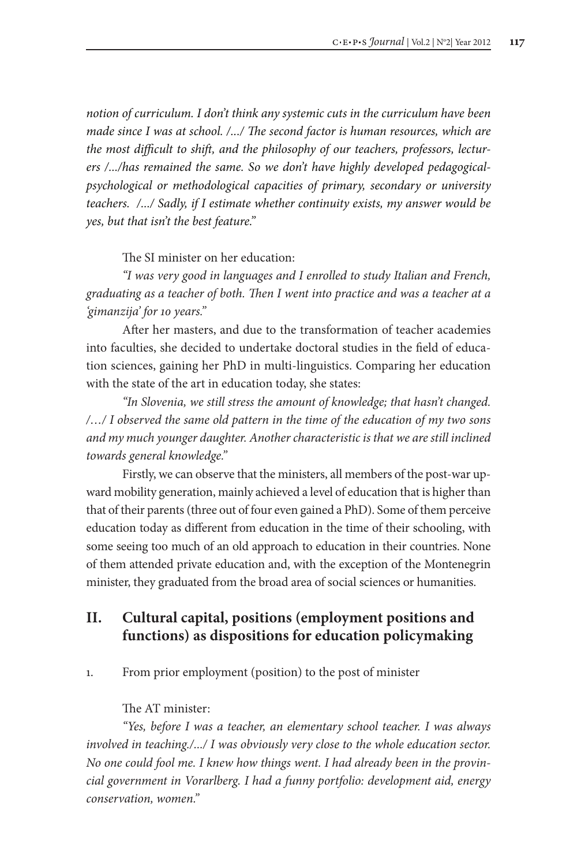*notion of curriculum. I don't think any systemic cuts in the curriculum have been made since I was at school. /.../ The second factor is human resources, which are the most difficult to shift, and the philosophy of our teachers, professors, lecturers /.../has remained the same. So we don't have highly developed pedagogicalpsychological or methodological capacities of primary, secondary or university teachers. /.../ Sadly, if I estimate whether continuity exists, my answer would be yes, but that isn't the best feature."* 

The SI minister on her education:

*"I was very good in languages and I enrolled to study Italian and French, graduating as a teacher of both. Then I went into practice and was a teacher at a 'gimanzija' for 10 years."* 

After her masters, and due to the transformation of teacher academies into faculties, she decided to undertake doctoral studies in the field of education sciences, gaining her PhD in multi-linguistics. Comparing her education with the state of the art in education today, she states:

*"In Slovenia, we still stress the amount of knowledge; that hasn't changed. /…/ I observed the same old pattern in the time of the education of my two sons and my much younger daughter. Another characteristic is that we are still inclined towards general knowledge."* 

Firstly, we can observe that the ministers, all members of the post-war upward mobility generation, mainly achieved a level of education that is higher than that of their parents (three out of four even gained a PhD). Some of them perceive education today as different from education in the time of their schooling, with some seeing too much of an old approach to education in their countries. None of them attended private education and, with the exception of the Montenegrin minister, they graduated from the broad area of social sciences or humanities.

# **II. Cultural capital, positions (employment positions and functions) as dispositions for education policymaking**

1. From prior employment (position) to the post of minister

The AT minister:

*"Yes, before I was a teacher, an elementary school teacher. I was always involved in teaching./.../ I was obviously very close to the whole education sector. No one could fool me. I knew how things went. I had already been in the provincial government in Vorarlberg. I had a funny portfolio: development aid, energy conservation, women."*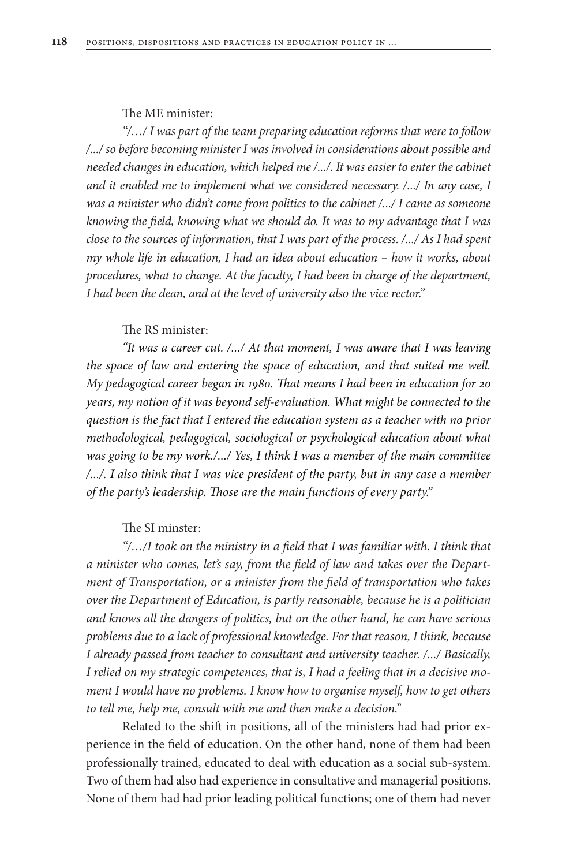#### The ME minister:

*"/…/ I was part of the team preparing education reforms that were to follow /.../ so before becoming minister I was involved in considerations about possible and needed changes in education, which helped me /.../. It was easier to enter the cabinet and it enabled me to implement what we considered necessary. /.../ In any case, I was a minister who didn't come from politics to the cabinet /.../ I came as someone knowing the field, knowing what we should do. It was to my advantage that I was close to the sources of information, that I was part of the process. /.../ As I had spent my whole life in education, I had an idea about education – how it works, about procedures, what to change. At the faculty, I had been in charge of the department, I had been the dean, and at the level of university also the vice rector."*

#### The RS minister:

*"It was a career cut. /.../ At that moment, I was aware that I was leaving the space of law and entering the space of education, and that suited me well. My pedagogical career began in 1980. That means I had been in education for 20 years, my notion of it was beyond self-evaluation. What might be connected to the question is the fact that I entered the education system as a teacher with no prior methodological, pedagogical, sociological or psychological education about what was going to be my work./.../ Yes, I think I was a member of the main committee /.../. I also think that I was vice president of the party, but in any case a member of the party's leadership. Those are the main functions of every party."*

#### The SI minster:

*"*/.../I took on the ministry in a field that I was familiar with. I think that *a minister who comes, let's say, from the field of law and takes over the Department of Transportation, or a minister from the field of transportation who takes over the Department of Education, is partly reasonable, because he is a politician and knows all the dangers of politics, but on the other hand, he can have serious problems due to a lack of professional knowledge. For that reason, I think, because I already passed from teacher to consultant and university teacher. /.../ Basically, I relied on my strategic competences, that is, I had a feeling that in a decisive moment I would have no problems. I know how to organise myself, how to get others to tell me, help me, consult with me and then make a decision."* 

Related to the shift in positions, all of the ministers had had prior experience in the field of education. On the other hand, none of them had been professionally trained, educated to deal with education as a social sub-system. Two of them had also had experience in consultative and managerial positions. None of them had had prior leading political functions; one of them had never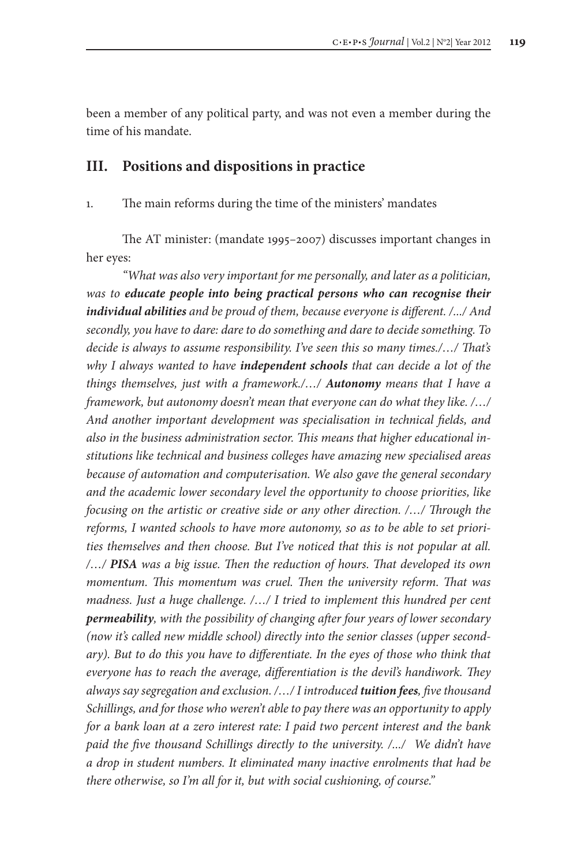been a member of any political party, and was not even a member during the time of his mandate.

### **III. Positions and dispositions in practice**

1. The main reforms during the time of the ministers' mandates

The AT minister: (mandate 1995*–*2007) discusses important changes in her eyes:

*"What was also very important for me personally, and later as a politician, was to educate people into being practical persons who can recognise their individual abilities and be proud of them, because everyone is different. /.../ And secondly, you have to dare: dare to do something and dare to decide something. To decide is always to assume responsibility. I've seen this so many times./…/ That's why I always wanted to have independent schools that can decide a lot of the things themselves, just with a framework./…/ Autonomy means that I have a framework, but autonomy doesn't mean that everyone can do what they like. /…/ And another important development was specialisation in technical fields, and also in the business administration sector. This means that higher educational institutions like technical and business colleges have amazing new specialised areas because of automation and computerisation. We also gave the general secondary and the academic lower secondary level the opportunity to choose priorities, like focusing on the artistic or creative side or any other direction. /…/ Through the reforms, I wanted schools to have more autonomy, so as to be able to set priorities themselves and then choose. But I've noticed that this is not popular at all. /…/ PISA was a big issue. Then the reduction of hours. That developed its own momentum. This momentum was cruel. Then the university reform. That was madness. Just a huge challenge. /…/ I tried to implement this hundred per cent permeability, with the possibility of changing after four years of lower secondary (now it's called new middle school) directly into the senior classes (upper second*ary). But to do this you have to differentiate. In the eyes of those who think that *everyone has to reach the average, differentiation is the devil's handiwork. They always say segregation and exclusion. /…/ I introduced tuition fees, five thousand Schillings, and for those who weren't able to pay there was an opportunity to apply for a bank loan at a zero interest rate: I paid two percent interest and the bank paid the five thousand Schillings directly to the university. /.../ We didn't have a drop in student numbers. It eliminated many inactive enrolments that had be there otherwise, so I'm all for it, but with social cushioning, of course."*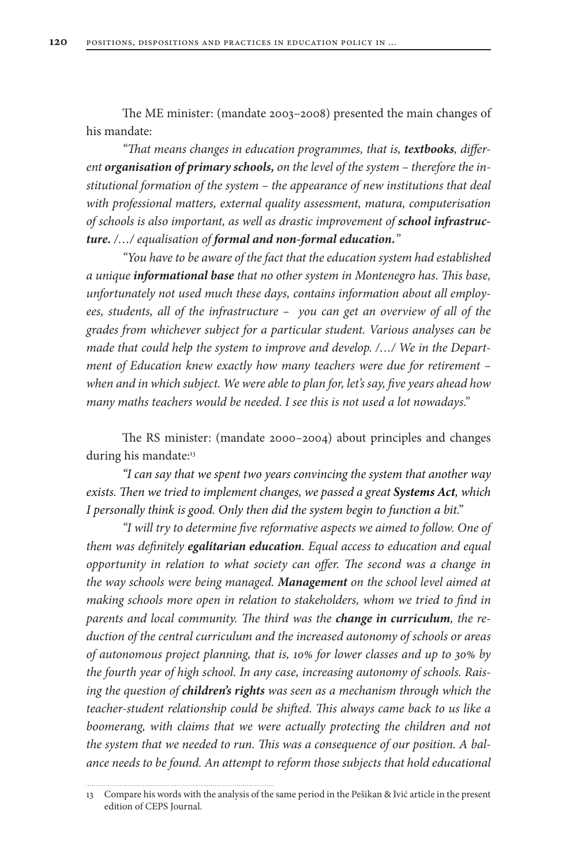The ME minister: (mandate 2003*–*2008) presented the main changes of his mandate:

"That means changes in education programmes, that is, textbooks, differ*ent organisation of primary schools, on the level of the system – therefore the institutional formation of the system – the appearance of new institutions that deal with professional matters, external quality assessment, matura, computerisation of schools is also important, as well as drastic improvement of school infrastructure. /…/ equalisation of formal and non-formal education."*

*"You have to be aware of the fact that the education system had established a unique informational base that no other system in Montenegro has. This base, unfortunately not used much these days, contains information about all employees, students, all of the infrastructure – you can get an overview of all of the grades from whichever subject for a particular student. Various analyses can be made that could help the system to improve and develop. /…/ We in the Department of Education knew exactly how many teachers were due for retirement – when and in which subject. We were able to plan for, let's say, five years ahead how many maths teachers would be needed. I see this is not used a lot nowadays."*

The RS minister: (mandate 2000*–*2004) about principles and changes during his mandate:<sup>13</sup>

*"I can say that we spent two years convincing the system that another way exists. Then we tried to implement changes, we passed a great Systems Act, which I personally think is good. Only then did the system begin to function a bit."*

*"I will try to determine five reformative aspects we aimed to follow. One of them was definitely egalitarian education. Equal access to education and equal opportunity in relation to what society can offer. The second was a change in the way schools were being managed. Management on the school level aimed at making schools more open in relation to stakeholders, whom we tried to find in parents and local community. The third was the change in curriculum, the reduction of the central curriculum and the increased autonomy of schools or areas of autonomous project planning, that is, 10% for lower classes and up to 30% by the fourth year of high school. In any case, increasing autonomy of schools. Raising the question of children's rights was seen as a mechanism through which the teacher-student relationship could be shifted. This always came back to us like a boomerang, with claims that we were actually protecting the children and not the system that we needed to run. This was a consequence of our position. A balance needs to be found. An attempt to reform those subjects that hold educational* 

edition of CEPS Journal.

<sup>13</sup> Compare his words with the analysis of the same period in the Pešikan & Ivić article in the present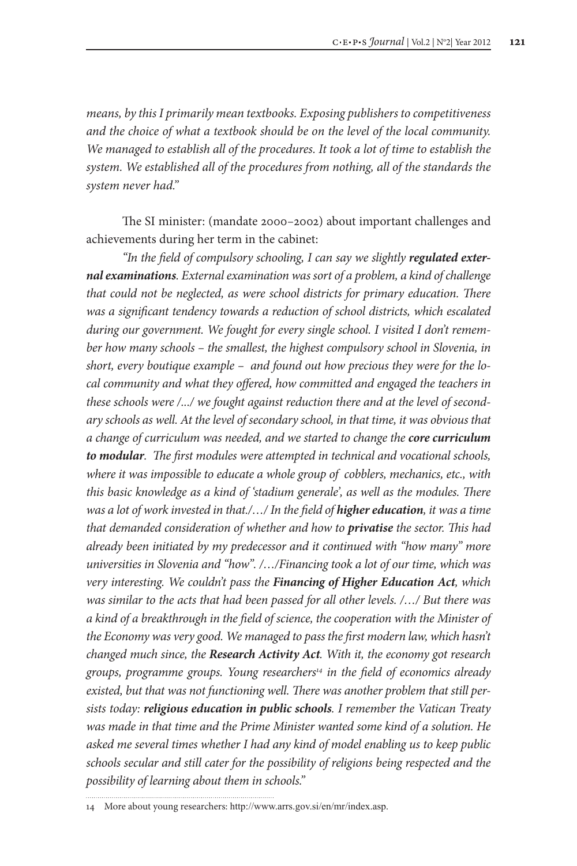*means, by this I primarily mean textbooks. Exposing publishers to competitiveness and the choice of what a textbook should be on the level of the local community. We managed to establish all of the procedures. It took a lot of time to establish the system. We established all of the procedures from nothing, all of the standards the system never had."*

The SI minister: (mandate 2000*–*2002) about important challenges and achievements during her term in the cabinet:

"In the field of compulsory schooling, I can say we slightly *regulated external examinations. External examination was sort of a problem, a kind of challenge that could not be neglected, as were school districts for primary education. There was a significant tendency towards a reduction of school districts, which escalated during our government. We fought for every single school. I visited I don't remember how many schools – the smallest, the highest compulsory school in Slovenia, in short, every boutique example – and found out how precious they were for the local community and what they offered, how committed and engaged the teachers in these schools were /.../ we fought against reduction there and at the level of secondary schools as well. At the level of secondary school, in that time, it was obvious that a change of curriculum was needed, and we started to change the core curriculum to modular. The first modules were attempted in technical and vocational schools, where it was impossible to educate a whole group of cobblers, mechanics, etc., with this basic knowledge as a kind of 'stadium generale', as well as the modules. There was a lot of work invested in that./.../ In the field of <i>higher education*, *it was a time that demanded consideration of whether and how to privatise the sector. This had already been initiated by my predecessor and it continued with "how many" more universities in Slovenia and "how". /…/Financing took a lot of our time, which was very interesting. We couldn't pass the Financing of Higher Education Act, which was similar to the acts that had been passed for all other levels. /…/ But there was a kind of a breakthrough in the field of science, the cooperation with the Minister of the Economy was very good. We managed to pass the first modern law, which hasn't changed much since, the Research Activity Act. With it, the economy got research groups, programme groups. Young researchers14 in the field of economics already existed, but that was not functioning well. There was another problem that still persists today: religious education in public schools. I remember the Vatican Treaty was made in that time and the Prime Minister wanted some kind of a solution. He asked me several times whether I had any kind of model enabling us to keep public schools secular and still cater for the possibility of religions being respected and the possibility of learning about them in schools."*

<sup>14</sup> More about young researchers: http://www.arrs.gov.si/en/mr/index.asp.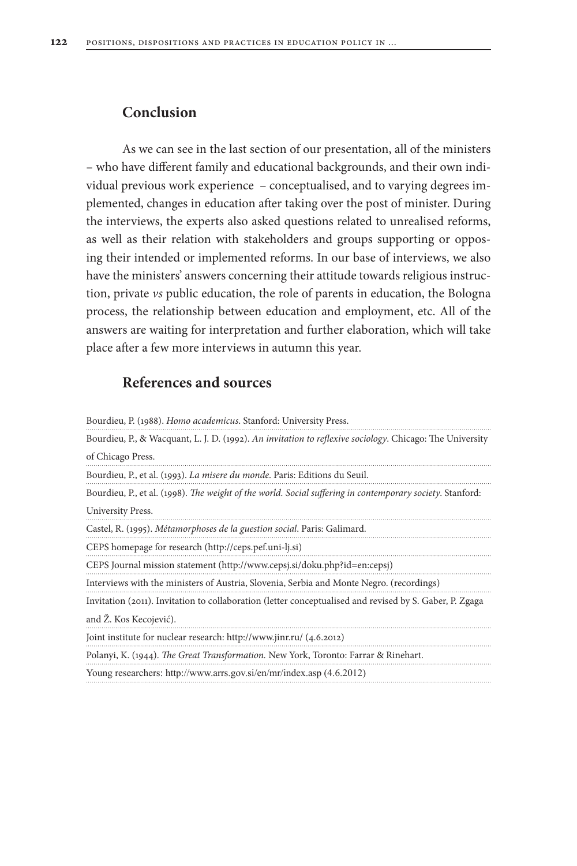# **Conclusion**

As we can see in the last section of our presentation, all of the ministers – who have different family and educational backgrounds, and their own individual previous work experience – conceptualised, and to varying degrees implemented, changes in education after taking over the post of minister. During the interviews, the experts also asked questions related to unrealised reforms, as well as their relation with stakeholders and groups supporting or opposing their intended or implemented reforms. In our base of interviews, we also have the ministers' answers concerning their attitude towards religious instruction, private *vs* public education, the role of parents in education, the Bologna process, the relationship between education and employment, etc. All of the answers are waiting for interpretation and further elaboration, which will take place after a few more interviews in autumn this year.

# **References and sources**

| Bourdieu, P. (1988). Homo academicus. Stanford: University Press.                                         |
|-----------------------------------------------------------------------------------------------------------|
| Bourdieu, P., & Wacquant, L. J. D. (1992). An invitation to reflexive sociology. Chicago: The University  |
| of Chicago Press.                                                                                         |
| Bourdieu, P., et al. (1993). La misere du monde. Paris: Editions du Seuil.                                |
| Bourdieu, P., et al. (1998). The weight of the world. Social suffering in contemporary society. Stanford: |
| University Press.                                                                                         |
| Castel, R. (1995). Métamorphoses de la guestion social. Paris: Galimard.                                  |
| CEPS homepage for research (http://ceps.pef.uni-lj.si)                                                    |
| CEPS Journal mission statement (http://www.cepsj.si/doku.php?id=en:cepsj)                                 |
| Interviews with the ministers of Austria, Slovenia, Serbia and Monte Negro. (recordings)                  |
| Invitation (2011). Invitation to collaboration (letter conceptualised and revised by S. Gaber, P. Zgaga   |
| and Ž. Kos Kecojević).                                                                                    |
| Joint institute for nuclear research: http://www.jinr.ru/ (4.6.2012)                                      |
| Polanyi, K. (1944). The Great Transformation. New York, Toronto: Farrar & Rinehart.                       |
| Young researchers: http://www.arrs.gov.si/en/mr/index.asp (4.6.2012)                                      |